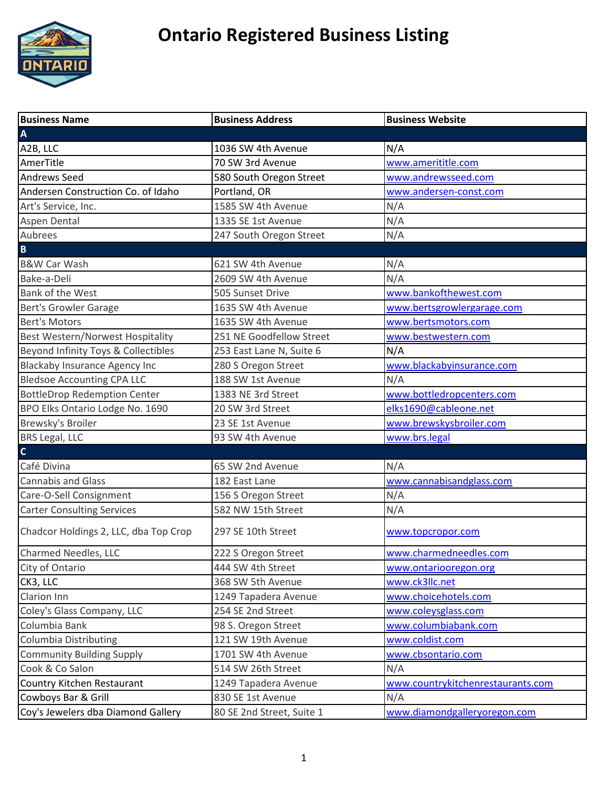

| <b>Business Name</b>                    | <b>Business Address</b>   | <b>Business Website</b>           |
|-----------------------------------------|---------------------------|-----------------------------------|
| $\overline{\mathsf{A}}$                 |                           |                                   |
| A2B, LLC                                | 1036 SW 4th Avenue        | N/A                               |
| AmerTitle                               | 70 SW 3rd Avenue          | www.amerititle.com                |
| <b>Andrews Seed</b>                     | 580 South Oregon Street   | www.andrewsseed.com               |
| Andersen Construction Co. of Idaho      | Portland, OR              | www.andersen-const.com            |
| Art's Service, Inc.                     | 1585 SW 4th Avenue        | N/A                               |
| Aspen Dental                            | 1335 SE 1st Avenue        | N/A                               |
| Aubrees                                 | 247 South Oregon Street   | N/A                               |
| $\overline{\mathbf{B}}$                 |                           |                                   |
| <b>B&amp;W Car Wash</b>                 | 621 SW 4th Avenue         | N/A                               |
| Bake-a-Deli                             | 2609 SW 4th Avenue        | N/A                               |
| <b>Bank of the West</b>                 | 505 Sunset Drive          | www.bankofthewest.com             |
| Bert's Growler Garage                   | 1635 SW 4th Avenue        | www.bertsgrowlergarage.com        |
| <b>Bert's Motors</b>                    | 1635 SW 4th Avenue        | www.bertsmotors.com               |
| <b>Best Western/Norwest Hospitality</b> | 251 NE Goodfellow Street  | www.bestwestern.com               |
| Beyond Infinity Toys & Collectibles     | 253 East Lane N, Suite 6  | N/A                               |
| Blackaby Insurance Agency Inc           | 280 S Oregon Street       | www.blackabyinsurance.com         |
| <b>Bledsoe Accounting CPA LLC</b>       | 188 SW 1st Avenue         | N/A                               |
| <b>BottleDrop Redemption Center</b>     | 1383 NE 3rd Street        | www.bottledropcenters.com         |
| BPO Elks Ontario Lodge No. 1690         | 20 SW 3rd Street          | elks1690@cableone.net             |
| Brewsky's Broiler                       | 23 SE 1st Avenue          | www.brewskysbroiler.com           |
| <b>BRS Legal, LLC</b>                   | 93 SW 4th Avenue          | www.brs.legal                     |
| $\mathsf{C}$                            |                           |                                   |
| Café Divina                             | 65 SW 2nd Avenue          | N/A                               |
| <b>Cannabis and Glass</b>               | 182 East Lane             | www.cannabisandglass.com          |
| Care-O-Sell Consignment                 | 156 S Oregon Street       | N/A                               |
| <b>Carter Consulting Services</b>       | 582 NW 15th Street        | N/A                               |
| Chadcor Holdings 2, LLC, dba Top Crop   | 297 SE 10th Street        | www.topcropor.com                 |
| <b>Charmed Needles, LLC</b>             | 222 S Oregon Street       | www.charmedneedles.com            |
| City of Ontario                         | 444 SW 4th Street         | www.ontariooregon.org             |
| CK3, LLC                                | 368 SW 5th Avenue         | www.ck3llc.net                    |
| Clarion Inn                             | 1249 Tapadera Avenue      | www.choicehotels.com              |
| Coley's Glass Company, LLC              | 254 SE 2nd Street         | www.coleysglass.com               |
| Columbia Bank                           | 98 S. Oregon Street       | www.columbiabank.com              |
| Columbia Distributing                   | 121 SW 19th Avenue        | www.coldist.com                   |
| <b>Community Building Supply</b>        | 1701 SW 4th Avenue        | www.cbsontario.com                |
| Cook & Co Salon                         | 514 SW 26th Street        | N/A                               |
| Country Kitchen Restaurant              | 1249 Tapadera Avenue      | www.countrykitchenrestaurants.com |
| Cowboys Bar & Grill                     | 830 SE 1st Avenue         | N/A                               |
| Coy's Jewelers dba Diamond Gallery      | 80 SE 2nd Street, Suite 1 | www.diamondgalleryoregon.com      |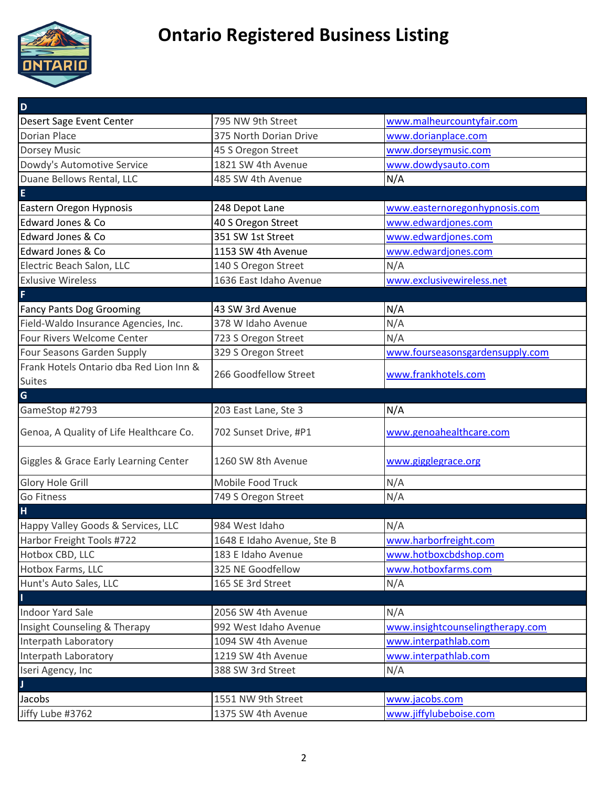

| D                                       |                            |                                  |
|-----------------------------------------|----------------------------|----------------------------------|
| Desert Sage Event Center                | 795 NW 9th Street          | www.malheurcountyfair.com        |
| <b>Dorian Place</b>                     | 375 North Dorian Drive     | www.dorianplace.com              |
| <b>Dorsey Music</b>                     | 45 S Oregon Street         | www.dorseymusic.com              |
| Dowdy's Automotive Service              | 1821 SW 4th Avenue         | www.dowdysauto.com               |
| Duane Bellows Rental, LLC               | 485 SW 4th Avenue          | N/A                              |
| E                                       |                            |                                  |
| Eastern Oregon Hypnosis                 | 248 Depot Lane             | www.easternoregonhypnosis.com    |
| Edward Jones & Co                       | 40 S Oregon Street         | www.edwardjones.com              |
| Edward Jones & Co                       | 351 SW 1st Street          | www.edwardjones.com              |
| Edward Jones & Co                       | 1153 SW 4th Avenue         | www.edwardjones.com              |
| Electric Beach Salon, LLC               | 140 S Oregon Street        | N/A                              |
| <b>Exlusive Wireless</b>                | 1636 East Idaho Avenue     | www.exclusivewireless.net        |
| F                                       |                            |                                  |
| <b>Fancy Pants Dog Grooming</b>         | 43 SW 3rd Avenue           | N/A                              |
| Field-Waldo Insurance Agencies, Inc.    | 378 W Idaho Avenue         | N/A                              |
| Four Rivers Welcome Center              | 723 S Oregon Street        | N/A                              |
| Four Seasons Garden Supply              | 329 S Oregon Street        | www.fourseasonsgardensupply.com  |
| Frank Hotels Ontario dba Red Lion Inn & | 266 Goodfellow Street      |                                  |
| Suites                                  |                            | www.frankhotels.com              |
| G                                       |                            |                                  |
| GameStop #2793                          | 203 East Lane, Ste 3       | N/A                              |
| Genoa, A Quality of Life Healthcare Co. | 702 Sunset Drive, #P1      | www.genoahealthcare.com          |
| Giggles & Grace Early Learning Center   | 1260 SW 8th Avenue         | www.gigglegrace.org              |
| Glory Hole Grill                        | Mobile Food Truck          | N/A                              |
| <b>Go Fitness</b>                       | 749 S Oregon Street        | N/A                              |
| H                                       |                            |                                  |
| Happy Valley Goods & Services, LLC      | 984 West Idaho             | N/A                              |
| Harbor Freight Tools #722               | 1648 E Idaho Avenue, Ste B | www.harborfreight.com            |
| Hotbox CBD, LLC                         | 183 E Idaho Avenue         | www.hotboxcbdshop.com            |
| Hotbox Farms, LLC                       | 325 NE Goodfellow          | www.hotboxfarms.com              |
| Hunt's Auto Sales, LLC                  | 165 SE 3rd Street          | N/A                              |
| $\mathbf{I}$                            |                            |                                  |
| <b>Indoor Yard Sale</b>                 | 2056 SW 4th Avenue         | N/A                              |
| Insight Counseling & Therapy            | 992 West Idaho Avenue      | www.insightcounselingtherapy.com |
| Interpath Laboratory                    | 1094 SW 4th Avenue         | www.interpathlab.com             |
| Interpath Laboratory                    | 1219 SW 4th Avenue         | www.interpathlab.com             |
| Iseri Agency, Inc                       | 388 SW 3rd Street          | N/A                              |
| $\mathbf{J}$                            |                            |                                  |
| Jacobs                                  | 1551 NW 9th Street         | www.jacobs.com                   |
| Jiffy Lube #3762                        | 1375 SW 4th Avenue         | www.jiffylubeboise.com           |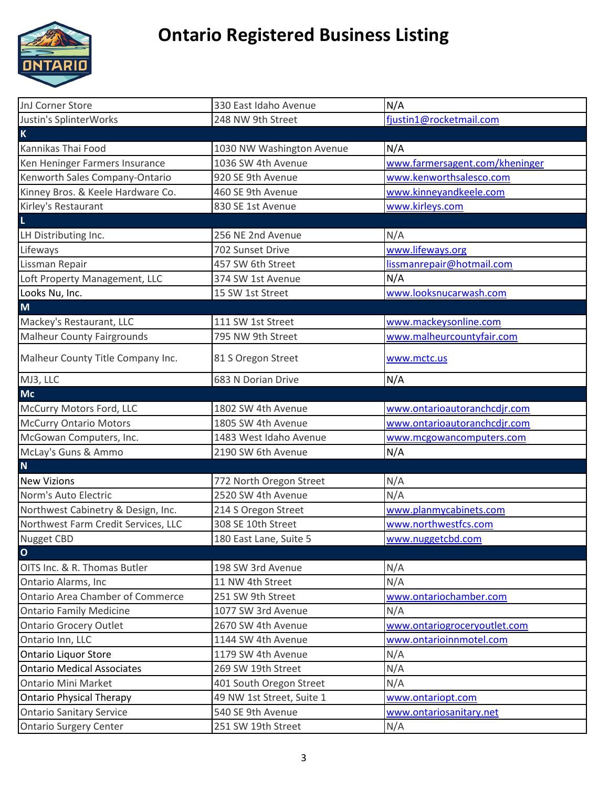

| JnJ Corner Store                    | 330 East Idaho Avenue     | N/A                            |
|-------------------------------------|---------------------------|--------------------------------|
| Justin's SplinterWorks              | 248 NW 9th Street         | fjustin1@rocketmail.com        |
| $\mathsf K$                         |                           |                                |
| Kannikas Thai Food                  | 1030 NW Washington Avenue | N/A                            |
| Ken Heninger Farmers Insurance      | 1036 SW 4th Avenue        | www.farmersagent.com/kheninger |
| Kenworth Sales Company-Ontario      | 920 SE 9th Avenue         | www.kenworthsalesco.com        |
| Kinney Bros. & Keele Hardware Co.   | 460 SE 9th Avenue         | www.kinneyandkeele.com         |
| Kirley's Restaurant                 | 830 SE 1st Avenue         | www.kirleys.com                |
| $\mathsf{L}$                        |                           |                                |
| LH Distributing Inc.                | 256 NE 2nd Avenue         | N/A                            |
| Lifeways                            | 702 Sunset Drive          | www.lifeways.org               |
| Lissman Repair                      | 457 SW 6th Street         | lissmanrepair@hotmail.com      |
| Loft Property Management, LLC       | 374 SW 1st Avenue         | N/A                            |
| Looks Nu, Inc.                      | 15 SW 1st Street          | www.looksnucarwash.com         |
| M                                   |                           |                                |
| Mackey's Restaurant, LLC            | 111 SW 1st Street         | www.mackeysonline.com          |
| <b>Malheur County Fairgrounds</b>   | 795 NW 9th Street         | www.malheurcountyfair.com      |
| Malheur County Title Company Inc.   | 81 S Oregon Street        | www.mctc.us                    |
| MJ3, LLC                            | 683 N Dorian Drive        | N/A                            |
| <b>Mc</b>                           |                           |                                |
| McCurry Motors Ford, LLC            | 1802 SW 4th Avenue        | www.ontarioautoranchcdjr.com   |
| <b>McCurry Ontario Motors</b>       | 1805 SW 4th Avenue        | www.ontarioautoranchcdjr.com   |
| McGowan Computers, Inc.             | 1483 West Idaho Avenue    | www.mcgowancomputers.com       |
| McLay's Guns & Ammo                 | 2190 SW 6th Avenue        | N/A                            |
| $\mathbf N$                         |                           |                                |
| <b>New Vizions</b>                  | 772 North Oregon Street   | N/A                            |
| Norm's Auto Electric                | 2520 SW 4th Avenue        | N/A                            |
| Northwest Cabinetry & Design, Inc.  | 214 S Oregon Street       | www.planmycabinets.com         |
| Northwest Farm Credit Services, LLC | 308 SE 10th Street        | www.northwestfcs.com           |
| Nugget CBD                          | 180 East Lane, Suite 5    | www.nuggetcbd.com              |
| $\overline{\mathbf{o}}$             |                           |                                |
| OITS Inc. & R. Thomas Butler        | 198 SW 3rd Avenue         | N/A                            |
| Ontario Alarms, Inc                 | 11 NW 4th Street          | N/A                            |
| Ontario Area Chamber of Commerce    | 251 SW 9th Street         | www.ontariochamber.com         |
| <b>Ontario Family Medicine</b>      | 1077 SW 3rd Avenue        | N/A                            |
| <b>Ontario Grocery Outlet</b>       | 2670 SW 4th Avenue        | www.ontariogroceryoutlet.com   |
| Ontario Inn, LLC                    | 1144 SW 4th Avenue        | www.ontarioinnmotel.com        |
| Ontario Liquor Store                | 1179 SW 4th Avenue        | N/A                            |
| <b>Ontario Medical Associates</b>   | 269 SW 19th Street        | N/A                            |
| <b>Ontario Mini Market</b>          | 401 South Oregon Street   | N/A                            |
| <b>Ontario Physical Therapy</b>     | 49 NW 1st Street, Suite 1 | www.ontariopt.com              |
| <b>Ontario Sanitary Service</b>     | 540 SE 9th Avenue         | www.ontariosanitary.net        |
| <b>Ontario Surgery Center</b>       | 251 SW 19th Street        | N/A                            |
|                                     |                           |                                |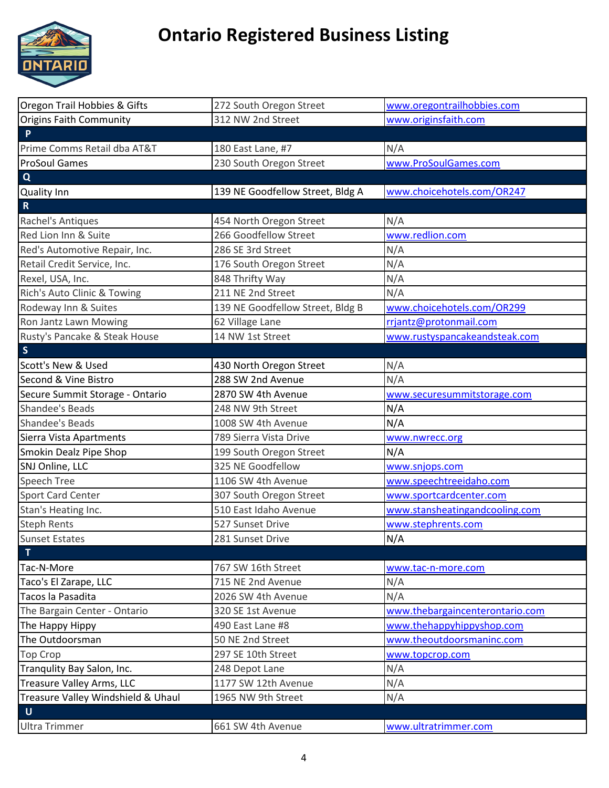

| Oregon Trail Hobbies & Gifts       | 272 South Oregon Street          | www.oregontrailhobbies.com      |
|------------------------------------|----------------------------------|---------------------------------|
| Origins Faith Community            | 312 NW 2nd Street                | www.originsfaith.com            |
| $\mathsf{P}$                       |                                  |                                 |
| Prime Comms Retail dba AT&T        | 180 East Lane, #7                | N/A                             |
| <b>ProSoul Games</b>               | 230 South Oregon Street          | www.ProSoulGames.com            |
| $\mathbf Q$                        |                                  |                                 |
| <b>Quality Inn</b>                 | 139 NE Goodfellow Street, Bldg A | www.choicehotels.com/OR247      |
| $\mathbf R$                        |                                  |                                 |
| Rachel's Antiques                  | 454 North Oregon Street          | N/A                             |
| Red Lion Inn & Suite               | 266 Goodfellow Street            | www.redlion.com                 |
| Red's Automotive Repair, Inc.      | 286 SE 3rd Street                | N/A                             |
| Retail Credit Service, Inc.        | 176 South Oregon Street          | N/A                             |
| Rexel, USA, Inc.                   | 848 Thrifty Way                  | N/A                             |
| Rich's Auto Clinic & Towing        | 211 NE 2nd Street                | N/A                             |
| Rodeway Inn & Suites               | 139 NE Goodfellow Street, Bldg B | www.choicehotels.com/OR299      |
| Ron Jantz Lawn Mowing              | 62 Village Lane                  | rrjantz@protonmail.com          |
| Rusty's Pancake & Steak House      | 14 NW 1st Street                 | www.rustyspancakeandsteak.com   |
| $\mathsf{S}$                       |                                  |                                 |
| <b>Scott's New &amp; Used</b>      | 430 North Oregon Street          | N/A                             |
| Second & Vine Bistro               | 288 SW 2nd Avenue                | N/A                             |
| Secure Summit Storage - Ontario    | 2870 SW 4th Avenue               | www.securesummitstorage.com     |
| <b>Shandee's Beads</b>             | 248 NW 9th Street                | N/A                             |
| Shandee's Beads                    | 1008 SW 4th Avenue               | N/A                             |
| Sierra Vista Apartments            | 789 Sierra Vista Drive           | www.nwrecc.org                  |
| Smokin Dealz Pipe Shop             | 199 South Oregon Street          | N/A                             |
| SNJ Online, LLC                    | 325 NE Goodfellow                | www.snjops.com                  |
| Speech Tree                        | 1106 SW 4th Avenue               | www.speechtreeidaho.com         |
| <b>Sport Card Center</b>           | 307 South Oregon Street          | www.sportcardcenter.com         |
| Stan's Heating Inc.                | 510 East Idaho Avenue            | www.stansheatingandcooling.com  |
| <b>Steph Rents</b>                 | 527 Sunset Drive                 | www.stephrents.com              |
| <b>Sunset Estates</b>              | 281 Sunset Drive                 | N/A                             |
| T                                  |                                  |                                 |
| Tac-N-More                         | 767 SW 16th Street               | www.tac-n-more.com              |
| Taco's El Zarape, LLC              | 715 NE 2nd Avenue                | N/A                             |
| Tacos la Pasadita                  | 2026 SW 4th Avenue               | N/A                             |
| The Bargain Center - Ontario       | 320 SE 1st Avenue                | www.thebargaincenterontario.com |
| The Happy Hippy                    | 490 East Lane #8                 | www.thehappyhippyshop.com       |
| The Outdoorsman                    | 50 NE 2nd Street                 | www.theoutdoorsmaninc.com       |
| <b>Top Crop</b>                    | 297 SE 10th Street               | www.topcrop.com                 |
| Tranqulity Bay Salon, Inc.         | 248 Depot Lane                   | N/A                             |
| <b>Treasure Valley Arms, LLC</b>   | 1177 SW 12th Avenue              | N/A                             |
| Treasure Valley Windshield & Uhaul | 1965 NW 9th Street               | N/A                             |
| $\mathsf{U}$                       |                                  |                                 |
| <b>Ultra Trimmer</b>               | 661 SW 4th Avenue                | www.ultratrimmer.com            |